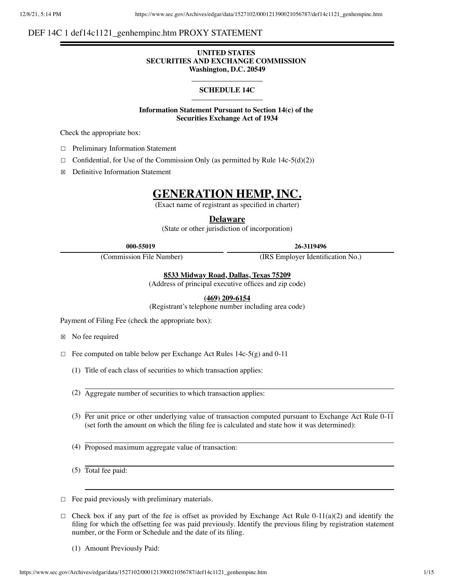# DEF 14C 1 def14c1121\_genhempinc.htm PROXY STATEMENT

## **UNITED STATES SECURITIES AND EXCHANGE COMMISSION Washington, D.C. 20549**

## **\_\_\_\_\_\_\_\_\_\_\_\_\_\_\_\_\_\_\_\_\_\_\_\_ SCHEDULE 14C \_\_\_\_\_\_\_\_\_\_\_\_\_\_\_\_\_\_\_\_\_\_\_\_**

**Information Statement Pursuant to Section 14(c) of the Securities Exchange Act of 1934**

Check the appropriate box:

- ☐ Preliminary Information Statement
- $\Box$  Confidential, for Use of the Commission Only (as permitted by Rule 14c-5(d)(2))
- ☒ Definitive Information Statement

# **GENERATION HEMP, INC.**

(Exact name of registrant as specified in charter)

**Delaware**

(State or other jurisdiction of incorporation)

**000-55019 26-3119496**

(Commission File Number) (IRS Employer Identification No.)

## **8533 Midway Road, Dallas, Texas 75209**

(Address of principal executive offices and zip code)

**(469) 209-6154**

(Registrant's telephone number including area code)

Payment of Filing Fee (check the appropriate box):

☒ No fee required

- $\Box$  Fee computed on table below per Exchange Act Rules 14c-5(g) and 0-11
	- (1) Title of each class of securities to which transaction applies:
	- (2) Aggregate number of securities to which transaction applies:
	- (3) Per unit price or other underlying value of transaction computed pursuant to Exchange Act Rule 0-11 (set forth the amount on which the filing fee is calculated and state how it was determined):
	- (4) Proposed maximum aggregate value of transaction:
	- (5) Total fee paid:
- $\Box$  Fee paid previously with preliminary materials.
- $\Box$  Check box if any part of the fee is offset as provided by Exchange Act Rule 0-11(a)(2) and identify the filing for which the offsetting fee was paid previously. Identify the previous filing by registration statement number, or the Form or Schedule and the date of its filing.
	- (1) Amount Previously Paid:

https://www.sec.gov/Archives/edgar/data/1527102/000121390021056787/def14c1121\_genhempinc.htm 1/15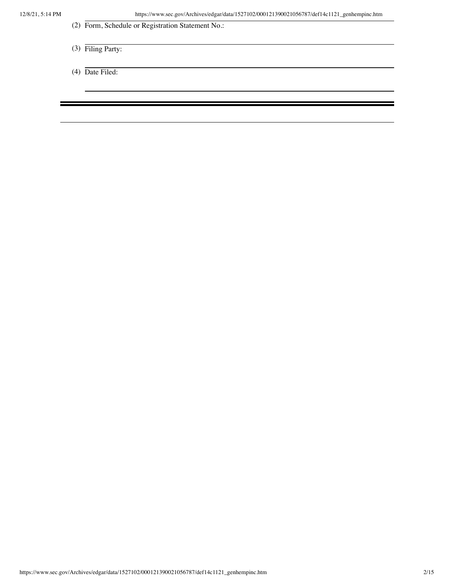- (2) Form, Schedule or Registration Statement No.:
- (3) Filing Party:
- (4) Date Filed: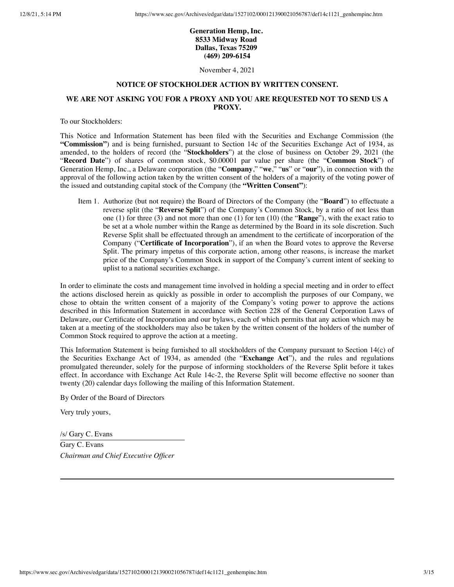# **Generation Hemp, Inc. 8533 Midway Road Dallas, Texas 75209 (469) 209-6154**

November 4, 2021

#### **NOTICE OF STOCKHOLDER ACTION BY WRITTEN CONSENT.**

## **WE ARE NOT ASKING YOU FOR A PROXY AND YOU ARE REQUESTED NOT TO SEND US A PROXY.**

To our Stockholders:

This Notice and Information Statement has been filed with the Securities and Exchange Commission (the **"Commission"**) and is being furnished, pursuant to Section 14c of the Securities Exchange Act of 1934, as amended, to the holders of record (the "**Stockholders**") at the close of business on October 29, 2021 (the "**Record Date**") of shares of common stock, \$0.00001 par value per share (the "**Common Stock**") of Generation Hemp, Inc., a Delaware corporation (the "**Company**," "**we**," "**us**" or "**our**"), in connection with the approval of the following action taken by the written consent of the holders of a majority of the voting power of the issued and outstanding capital stock of the Company (the **"Written Consent"**):

Item 1. Authorize (but not require) the Board of Directors of the Company (the "**Board**") to effectuate a reverse split (the "**Reverse Split**") of the Company's Common Stock, by a ratio of not less than one (1) for three (3) and not more than one (1) for ten (10) (the "**Range**"), with the exact ratio to be set at a whole number within the Range as determined by the Board in its sole discretion. Such Reverse Split shall be effectuated through an amendment to the certificate of incorporation of the Company ("**Certificate of Incorporation**"), if an when the Board votes to approve the Reverse Split. The primary impetus of this corporate action, among other reasons, is increase the market price of the Company's Common Stock in support of the Company's current intent of seeking to uplist to a national securities exchange.

In order to eliminate the costs and management time involved in holding a special meeting and in order to effect the actions disclosed herein as quickly as possible in order to accomplish the purposes of our Company, we chose to obtain the written consent of a majority of the Company's voting power to approve the actions described in this Information Statement in accordance with Section 228 of the General Corporation Laws of Delaware, our Certificate of Incorporation and our bylaws, each of which permits that any action which may be taken at a meeting of the stockholders may also be taken by the written consent of the holders of the number of Common Stock required to approve the action at a meeting.

This Information Statement is being furnished to all stockholders of the Company pursuant to Section 14(c) of the Securities Exchange Act of 1934, as amended (the "**Exchange Act**"), and the rules and regulations promulgated thereunder, solely for the purpose of informing stockholders of the Reverse Split before it takes effect. In accordance with Exchange Act Rule 14c-2, the Reverse Split will become effective no sooner than twenty (20) calendar days following the mailing of this Information Statement.

By Order of the Board of Directors

Very truly yours,

/s/ Gary C. Evans

Gary C. Evans *Chairman and Chief Executive Officer*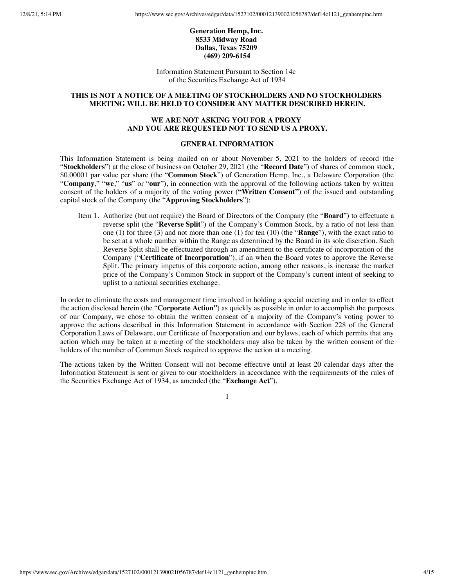# **Generation Hemp, Inc. 8533 Midway Road Dallas, Texas 75209 (469) 209-6154**

Information Statement Pursuant to Section 14c of the Securities Exchange Act of 1934

## **THIS IS NOT A NOTICE OF A MEETING OF STOCKHOLDERS AND NO STOCKHOLDERS MEETING WILL BE HELD TO CONSIDER ANY MATTER DESCRIBED HEREIN.**

# **WE ARE NOT ASKING YOU FOR A PROXY AND YOU ARE REQUESTED NOT TO SEND US A PROXY.**

# **GENERAL INFORMATION**

This Information Statement is being mailed on or about November 5, 2021 to the holders of record (the "**Stockholders**") at the close of business on October 29, 2021 (the "**Record Date**") of shares of common stock, \$0.00001 par value per share (the "**Common Stock**") of Generation Hemp, Inc., a Delaware Corporation (the "**Company**," "**we**," "**us**" or "**our**"), in connection with the approval of the following actions taken by written consent of the holders of a majority of the voting power (**"Written Consent"**) of the issued and outstanding capital stock of the Company (the "**Approving Stockholders**"):

Item 1. Authorize (but not require) the Board of Directors of the Company (the "**Board**") to effectuate a reverse split (the "**Reverse Split**") of the Company's Common Stock, by a ratio of not less than one (1) for three (3) and not more than one (1) for ten (10) (the "**Range**"), with the exact ratio to be set at a whole number within the Range as determined by the Board in its sole discretion. Such Reverse Split shall be effectuated through an amendment to the certificate of incorporation of the Company ("**Certificate of Incorporation**"), if an when the Board votes to approve the Reverse Split. The primary impetus of this corporate action, among other reasons, is increase the market price of the Company's Common Stock in support of the Company's current intent of seeking to uplist to a national securities exchange.

In order to eliminate the costs and management time involved in holding a special meeting and in order to effect the action disclosed herein (the "**Corporate Action"**) as quickly as possible in order to accomplish the purposes of our Company, we chose to obtain the written consent of a majority of the Company's voting power to approve the actions described in this Information Statement in accordance with Section 228 of the General Corporation Laws of Delaware, our Certificate of Incorporation and our bylaws, each of which permits that any action which may be taken at a meeting of the stockholders may also be taken by the written consent of the holders of the number of Common Stock required to approve the action at a meeting.

The actions taken by the Written Consent will not become effective until at least 20 calendar days after the Information Statement is sent or given to our stockholders in accordance with the requirements of the rules of the Securities Exchange Act of 1934, as amended (the "**Exchange Act**").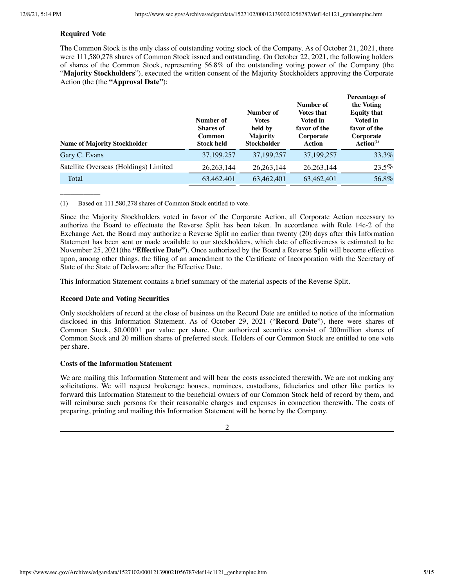#### **Required Vote**

 $\overline{\phantom{a}}$ 

The Common Stock is the only class of outstanding voting stock of the Company. As of October 21, 2021, there were 111,580,278 shares of Common Stock issued and outstanding. On October 22, 2021, the following holders of shares of the Common Stock, representing 56.8% of the outstanding voting power of the Company (the "**Majority Stockholders**"), executed the written consent of the Majority Stockholders approving the Corporate Action (the (the **"Approval Date"**):

| <b>Name of Majority Stockholder</b>   | Number of<br><b>Shares of</b><br>Common<br><b>Stock held</b> | Number of<br><b>Votes</b><br>held by<br><b>Majority</b><br><b>Stockholder</b> | Number of<br><b>Votes that</b><br>Voted in<br>favor of the<br>Corporate<br>Action | Percentage of<br>the Voting<br><b>Equity that</b><br>Voted in<br>favor of the<br>Corporate<br>Action <sup>(1)</sup> |
|---------------------------------------|--------------------------------------------------------------|-------------------------------------------------------------------------------|-----------------------------------------------------------------------------------|---------------------------------------------------------------------------------------------------------------------|
| Gary C. Evans                         | 37,199,257                                                   | 37,199,257                                                                    | 37,199,257                                                                        | 33.3%                                                                                                               |
| Satellite Overseas (Holdings) Limited | 26, 263, 144                                                 | 26, 263, 144                                                                  | 26, 263, 144                                                                      | 23.5%                                                                                                               |
| Total                                 | 63,462,401                                                   | 63,462,401                                                                    | 63,462,401                                                                        | 56.8%                                                                                                               |

(1) Based on 111,580,278 shares of Common Stock entitled to vote.

Since the Majority Stockholders voted in favor of the Corporate Action, all Corporate Action necessary to authorize the Board to effectuate the Reverse Split has been taken. In accordance with Rule 14c-2 of the Exchange Act, the Board may authorize a Reverse Split no earlier than twenty (20) days after this Information Statement has been sent or made available to our stockholders, which date of effectiveness is estimated to be November 25, 2021(the **"Effective Date"**). Once authorized by the Board a Reverse Split will become effective upon, among other things, the filing of an amendment to the Certificate of Incorporation with the Secretary of State of the State of Delaware after the Effective Date.

This Information Statement contains a brief summary of the material aspects of the Reverse Split.

#### **Record Date and Voting Securities**

Only stockholders of record at the close of business on the Record Date are entitled to notice of the information disclosed in this Information Statement. As of October 29, 2021 ("**Record Date**"), there were shares of Common Stock, \$0.00001 par value per share. Our authorized securities consist of 200million shares of Common Stock and 20 million shares of preferred stock. Holders of our Common Stock are entitled to one vote per share.

#### **Costs of the Information Statement**

We are mailing this Information Statement and will bear the costs associated therewith. We are not making any solicitations. We will request brokerage houses, nominees, custodians, fiduciaries and other like parties to forward this Information Statement to the beneficial owners of our Common Stock held of record by them, and will reimburse such persons for their reasonable charges and expenses in connection therewith. The costs of preparing, printing and mailing this Information Statement will be borne by the Company.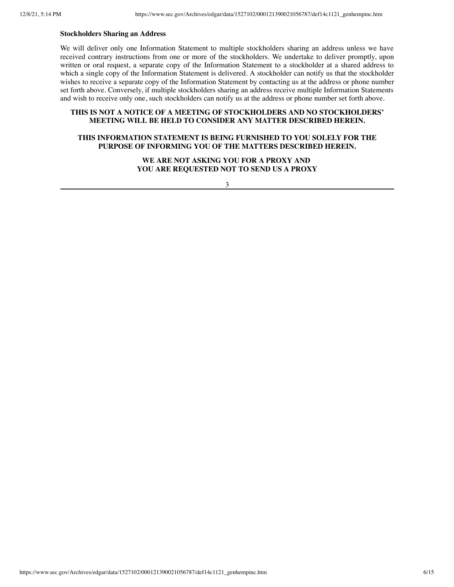## **Stockholders Sharing an Address**

We will deliver only one Information Statement to multiple stockholders sharing an address unless we have received contrary instructions from one or more of the stockholders. We undertake to deliver promptly, upon written or oral request, a separate copy of the Information Statement to a stockholder at a shared address to which a single copy of the Information Statement is delivered. A stockholder can notify us that the stockholder wishes to receive a separate copy of the Information Statement by contacting us at the address or phone number set forth above. Conversely, if multiple stockholders sharing an address receive multiple Information Statements and wish to receive only one, such stockholders can notify us at the address or phone number set forth above.

## **THIS IS NOT A NOTICE OF A MEETING OF STOCKHOLDERS AND NO STOCKHOLDERS' MEETING WILL BE HELD TO CONSIDER ANY MATTER DESCRIBED HEREIN.**

# **THIS INFORMATION STATEMENT IS BEING FURNISHED TO YOU SOLELY FOR THE PURPOSE OF INFORMING YOU OF THE MATTERS DESCRIBED HEREIN.**

**WE ARE NOT ASKING YOU FOR A PROXY AND YOU ARE REQUESTED NOT TO SEND US A PROXY**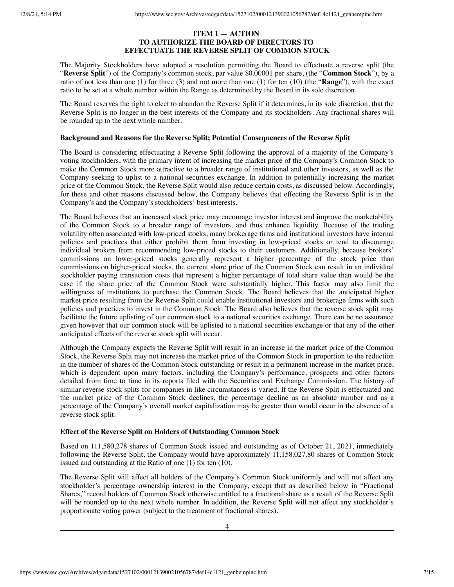## **ITEM 1 — ACTION TO AUTHORIZE THE BOARD OF DIRECTORS TO EFFECTUATE THE REVERSE SPLIT OF COMMON STOCK**

The Majority Stockholders have adopted a resolution permitting the Board to effectuate a reverse split (the "**Reverse Split**") of the Company's common stock, par value \$0.00001 per share, (the "**Common Stock**"), by a ratio of not less than one (1) for three (3) and not more than one (1) for ten (10) (the "**Range**"), with the exact ratio to be set at a whole number within the Range as determined by the Board in its sole discretion.

The Board reserves the right to elect to abandon the Reverse Split if it determines, in its sole discretion, that the Reverse Split is no longer in the best interests of the Company and its stockholders. Any fractional shares will be rounded up to the next whole number.

## **Background and Reasons for the Reverse Split; Potential Consequences of the Reverse Split**

The Board is considering effectuating a Reverse Split following the approval of a majority of the Company's voting stockholders, with the primary intent of increasing the market price of the Company's Common Stock to make the Common Stock more attractive to a broader range of institutional and other investors, as well as the Company seeking to uplist to a national securities exchange. In addition to potentially increasing the market price of the Common Stock, the Reverse Split would also reduce certain costs, as discussed below. Accordingly, for these and other reasons discussed below, the Company believes that effecting the Reverse Split is in the Company's and the Company's stockholders' best interests.

The Board believes that an increased stock price may encourage investor interest and improve the marketability of the Common Stock to a broader range of investors, and thus enhance liquidity. Because of the trading volatility often associated with low-priced stocks, many brokerage firms and institutional investors have internal policies and practices that either prohibit them from investing in low-priced stocks or tend to discourage individual brokers from recommending low-priced stocks to their customers. Additionally, because brokers' commissions on lower-priced stocks generally represent a higher percentage of the stock price than commissions on higher-priced stocks, the current share price of the Common Stock can result in an individual stockholder paying transaction costs that represent a higher percentage of total share value than would be the case if the share price of the Common Stock were substantially higher. This factor may also limit the willingness of institutions to purchase the Common Stock. The Board believes that the anticipated higher market price resulting from the Reverse Split could enable institutional investors and brokerage firms with such policies and practices to invest in the Common Stock. The Board also believes that the reverse stock split may facilitate the future uplisting of our common stock to a national securities exchange. There can be no assurance given however that our common stock will be uplisted to a national securities exchange or that any of the other anticipated effects of the reverse stock split will occur.

Although the Company expects the Reverse Split will result in an increase in the market price of the Common Stock, the Reverse Split may not increase the market price of the Common Stock in proportion to the reduction in the number of shares of the Common Stock outstanding or result in a permanent increase in the market price, which is dependent upon many factors, including the Company's performance, prospects and other factors detailed from time to time in its reports filed with the Securities and Exchange Commission. The history of similar reverse stock splits for companies in like circumstances is varied. If the Reverse Split is effectuated and the market price of the Common Stock declines, the percentage decline as an absolute number and as a percentage of the Company's overall market capitalization may be greater than would occur in the absence of a reverse stock split.

# **Effect of the Reverse Split on Holders of Outstanding Common Stock**

Based on 111,580,278 shares of Common Stock issued and outstanding as of October 21, 2021, immediately following the Reverse Split, the Company would have approximately 11,158,027.80 shares of Common Stock issued and outstanding at the Ratio of one (1) for ten (10).

The Reverse Split will affect all holders of the Company's Common Stock uniformly and will not affect any stockholder's percentage ownership interest in the Company, except that as described below in "Fractional Shares," record holders of Common Stock otherwise entitled to a fractional share as a result of the Reverse Split will be rounded up to the next whole number. In addition, the Reverse Split will not affect any stockholder's proportionate voting power (subject to the treatment of fractional shares).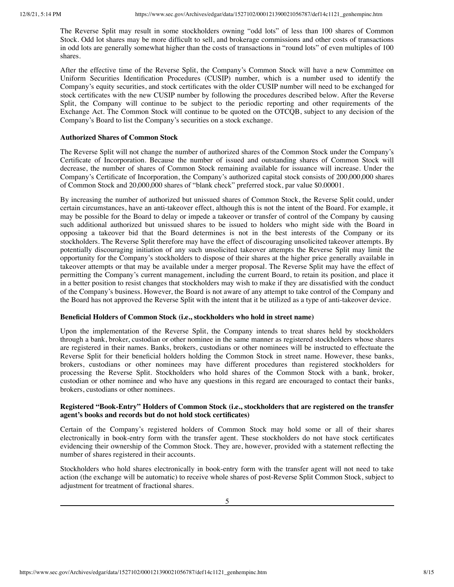The Reverse Split may result in some stockholders owning "odd lots" of less than 100 shares of Common Stock. Odd lot shares may be more difficult to sell, and brokerage commissions and other costs of transactions in odd lots are generally somewhat higher than the costs of transactions in "round lots" of even multiples of 100 shares.

After the effective time of the Reverse Split, the Company's Common Stock will have a new Committee on Uniform Securities Identification Procedures (CUSIP) number, which is a number used to identify the Company's equity securities, and stock certificates with the older CUSIP number will need to be exchanged for stock certificates with the new CUSIP number by following the procedures described below. After the Reverse Split, the Company will continue to be subject to the periodic reporting and other requirements of the Exchange Act. The Common Stock will continue to be quoted on the OTCQB, subject to any decision of the Company's Board to list the Company's securities on a stock exchange.

#### **Authorized Shares of Common Stock**

The Reverse Split will not change the number of authorized shares of the Common Stock under the Company's Certificate of Incorporation. Because the number of issued and outstanding shares of Common Stock will decrease, the number of shares of Common Stock remaining available for issuance will increase. Under the Company's Certificate of Incorporation, the Company's authorized capital stock consists of 200,000,000 shares of Common Stock and 20,000,000 shares of "blank check" preferred stock, par value \$0.00001.

By increasing the number of authorized but unissued shares of Common Stock, the Reverse Split could, under certain circumstances, have an anti-takeover effect, although this is not the intent of the Board. For example, it may be possible for the Board to delay or impede a takeover or transfer of control of the Company by causing such additional authorized but unissued shares to be issued to holders who might side with the Board in opposing a takeover bid that the Board determines is not in the best interests of the Company or its stockholders. The Reverse Split therefore may have the effect of discouraging unsolicited takeover attempts. By potentially discouraging initiation of any such unsolicited takeover attempts the Reverse Split may limit the opportunity for the Company's stockholders to dispose of their shares at the higher price generally available in takeover attempts or that may be available under a merger proposal. The Reverse Split may have the effect of permitting the Company's current management, including the current Board, to retain its position, and place it in a better position to resist changes that stockholders may wish to make if they are dissatisfied with the conduct of the Company's business. However, the Board is not aware of any attempt to take control of the Company and the Board has not approved the Reverse Split with the intent that it be utilized as a type of anti-takeover device.

#### **Beneficial Holders of Common Stock (i.e., stockholders who hold in street name)**

Upon the implementation of the Reverse Split, the Company intends to treat shares held by stockholders through a bank, broker, custodian or other nominee in the same manner as registered stockholders whose shares are registered in their names. Banks, brokers, custodians or other nominees will be instructed to effectuate the Reverse Split for their beneficial holders holding the Common Stock in street name. However, these banks, brokers, custodians or other nominees may have different procedures than registered stockholders for processing the Reverse Split. Stockholders who hold shares of the Common Stock with a bank, broker, custodian or other nominee and who have any questions in this regard are encouraged to contact their banks, brokers, custodians or other nominees.

## **Registered "Book-Entry" Holders of Common Stock (i.e., stockholders that are registered on the transfer agent's books and records but do not hold stock certificates)**

Certain of the Company's registered holders of Common Stock may hold some or all of their shares electronically in book-entry form with the transfer agent. These stockholders do not have stock certificates evidencing their ownership of the Common Stock. They are, however, provided with a statement reflecting the number of shares registered in their accounts.

Stockholders who hold shares electronically in book-entry form with the transfer agent will not need to take action (the exchange will be automatic) to receive whole shares of post-Reverse Split Common Stock, subject to adjustment for treatment of fractional shares.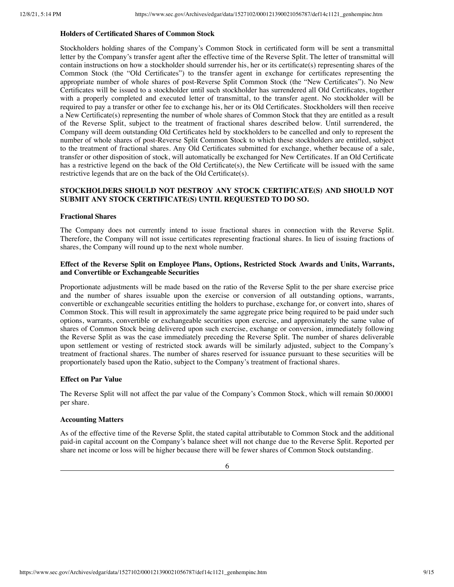#### **Holders of Certificated Shares of Common Stock**

Stockholders holding shares of the Company's Common Stock in certificated form will be sent a transmittal letter by the Company's transfer agent after the effective time of the Reverse Split. The letter of transmittal will contain instructions on how a stockholder should surrender his, her or its certificate(s) representing shares of the Common Stock (the "Old Certificates") to the transfer agent in exchange for certificates representing the appropriate number of whole shares of post-Reverse Split Common Stock (the "New Certificates"). No New Certificates will be issued to a stockholder until such stockholder has surrendered all Old Certificates, together with a properly completed and executed letter of transmittal, to the transfer agent. No stockholder will be required to pay a transfer or other fee to exchange his, her or its Old Certificates. Stockholders will then receive a New Certificate(s) representing the number of whole shares of Common Stock that they are entitled as a result of the Reverse Split, subject to the treatment of fractional shares described below. Until surrendered, the Company will deem outstanding Old Certificates held by stockholders to be cancelled and only to represent the number of whole shares of post-Reverse Split Common Stock to which these stockholders are entitled, subject to the treatment of fractional shares. Any Old Certificates submitted for exchange, whether because of a sale, transfer or other disposition of stock, will automatically be exchanged for New Certificates. If an Old Certificate has a restrictive legend on the back of the Old Certificate(s), the New Certificate will be issued with the same restrictive legends that are on the back of the Old Certificate(s).

## **STOCKHOLDERS SHOULD NOT DESTROY ANY STOCK CERTIFICATE(S) AND SHOULD NOT SUBMIT ANY STOCK CERTIFICATE(S) UNTIL REQUESTED TO DO SO.**

#### **Fractional Shares**

The Company does not currently intend to issue fractional shares in connection with the Reverse Split. Therefore, the Company will not issue certificates representing fractional shares. In lieu of issuing fractions of shares, the Company will round up to the next whole number.

## **Effect of the Reverse Split on Employee Plans, Options, Restricted Stock Awards and Units, Warrants, and Convertible or Exchangeable Securities**

Proportionate adjustments will be made based on the ratio of the Reverse Split to the per share exercise price and the number of shares issuable upon the exercise or conversion of all outstanding options, warrants, convertible or exchangeable securities entitling the holders to purchase, exchange for, or convert into, shares of Common Stock. This will result in approximately the same aggregate price being required to be paid under such options, warrants, convertible or exchangeable securities upon exercise, and approximately the same value of shares of Common Stock being delivered upon such exercise, exchange or conversion, immediately following the Reverse Split as was the case immediately preceding the Reverse Split. The number of shares deliverable upon settlement or vesting of restricted stock awards will be similarly adjusted, subject to the Company's treatment of fractional shares. The number of shares reserved for issuance pursuant to these securities will be proportionately based upon the Ratio, subject to the Company's treatment of fractional shares.

#### **Effect on Par Value**

The Reverse Split will not affect the par value of the Company's Common Stock, which will remain \$0.00001 per share.

## **Accounting Matters**

As of the effective time of the Reverse Split, the stated capital attributable to Common Stock and the additional paid-in capital account on the Company's balance sheet will not change due to the Reverse Split. Reported per share net income or loss will be higher because there will be fewer shares of Common Stock outstanding.

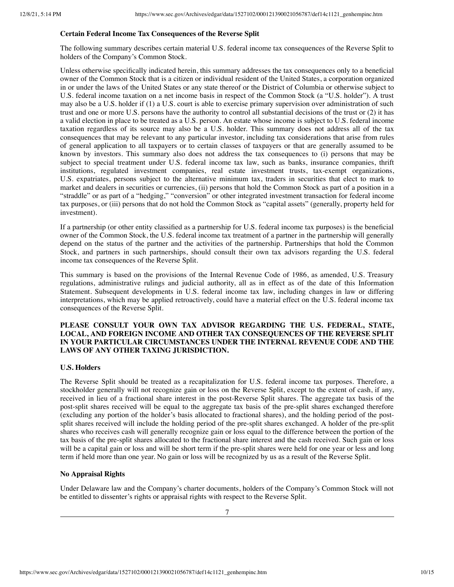## **Certain Federal Income Tax Consequences of the Reverse Split**

The following summary describes certain material U.S. federal income tax consequences of the Reverse Split to holders of the Company's Common Stock.

Unless otherwise specifically indicated herein, this summary addresses the tax consequences only to a beneficial owner of the Common Stock that is a citizen or individual resident of the United States, a corporation organized in or under the laws of the United States or any state thereof or the District of Columbia or otherwise subject to U.S. federal income taxation on a net income basis in respect of the Common Stock (a "U.S. holder"). A trust may also be a U.S. holder if (1) a U.S. court is able to exercise primary supervision over administration of such trust and one or more U.S. persons have the authority to control all substantial decisions of the trust or (2) it has a valid election in place to be treated as a U.S. person. An estate whose income is subject to U.S. federal income taxation regardless of its source may also be a U.S. holder. This summary does not address all of the tax consequences that may be relevant to any particular investor, including tax considerations that arise from rules of general application to all taxpayers or to certain classes of taxpayers or that are generally assumed to be known by investors. This summary also does not address the tax consequences to (i) persons that may be subject to special treatment under U.S. federal income tax law, such as banks, insurance companies, thrift institutions, regulated investment companies, real estate investment trusts, tax-exempt organizations, U.S. expatriates, persons subject to the alternative minimum tax, traders in securities that elect to mark to market and dealers in securities or currencies, (ii) persons that hold the Common Stock as part of a position in a "straddle" or as part of a "hedging," "conversion" or other integrated investment transaction for federal income tax purposes, or (iii) persons that do not hold the Common Stock as "capital assets" (generally, property held for investment).

If a partnership (or other entity classified as a partnership for U.S. federal income tax purposes) is the beneficial owner of the Common Stock, the U.S. federal income tax treatment of a partner in the partnership will generally depend on the status of the partner and the activities of the partnership. Partnerships that hold the Common Stock, and partners in such partnerships, should consult their own tax advisors regarding the U.S. federal income tax consequences of the Reverse Split.

This summary is based on the provisions of the Internal Revenue Code of 1986, as amended, U.S. Treasury regulations, administrative rulings and judicial authority, all as in effect as of the date of this Information Statement. Subsequent developments in U.S. federal income tax law, including changes in law or differing interpretations, which may be applied retroactively, could have a material effect on the U.S. federal income tax consequences of the Reverse Split.

# **PLEASE CONSULT YOUR OWN TAX ADVISOR REGARDING THE U.S. FEDERAL, STATE, LOCAL, AND FOREIGN INCOME AND OTHER TAX CONSEQUENCES OF THE REVERSE SPLIT IN YOUR PARTICULAR CIRCUMSTANCES UNDER THE INTERNAL REVENUE CODE AND THE LAWS OF ANY OTHER TAXING JURISDICTION.**

## **U.S. Holders**

The Reverse Split should be treated as a recapitalization for U.S. federal income tax purposes. Therefore, a stockholder generally will not recognize gain or loss on the Reverse Split, except to the extent of cash, if any, received in lieu of a fractional share interest in the post-Reverse Split shares. The aggregate tax basis of the post-split shares received will be equal to the aggregate tax basis of the pre-split shares exchanged therefore (excluding any portion of the holder's basis allocated to fractional shares), and the holding period of the postsplit shares received will include the holding period of the pre-split shares exchanged. A holder of the pre-split shares who receives cash will generally recognize gain or loss equal to the difference between the portion of the tax basis of the pre-split shares allocated to the fractional share interest and the cash received. Such gain or loss will be a capital gain or loss and will be short term if the pre-split shares were held for one year or less and long term if held more than one year. No gain or loss will be recognized by us as a result of the Reverse Split.

## **No Appraisal Rights**

Under Delaware law and the Company's charter documents, holders of the Company's Common Stock will not be entitled to dissenter's rights or appraisal rights with respect to the Reverse Split.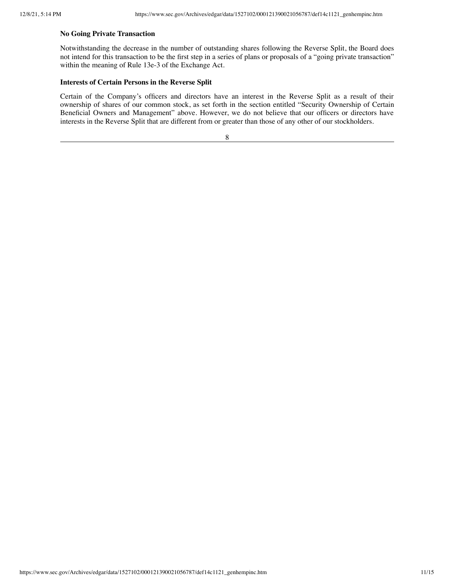## **No Going Private Transaction**

Notwithstanding the decrease in the number of outstanding shares following the Reverse Split, the Board does not intend for this transaction to be the first step in a series of plans or proposals of a "going private transaction" within the meaning of Rule 13e-3 of the Exchange Act.

## **Interests of Certain Persons in the Reverse Split**

Certain of the Company's officers and directors have an interest in the Reverse Split as a result of their ownership of shares of our common stock, as set forth in the section entitled "Security Ownership of Certain Beneficial Owners and Management" above. However, we do not believe that our officers or directors have interests in the Reverse Split that are different from or greater than those of any other of our stockholders.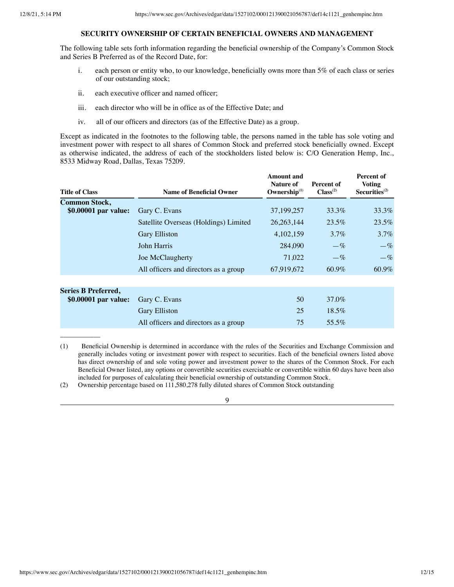\_\_\_\_\_\_\_\_\_\_\_\_

## **SECURITY OWNERSHIP OF CERTAIN BENEFICIAL OWNERS AND MANAGEMENT**

The following table sets forth information regarding the beneficial ownership of the Company's Common Stock and Series B Preferred as of the Record Date, for:

- i. each person or entity who, to our knowledge, beneficially owns more than 5% of each class or series of our outstanding stock;
- ii. each executive officer and named officer;
- iii. each director who will be in office as of the Effective Date; and
- iv. all of our officers and directors (as of the Effective Date) as a group.

Except as indicated in the footnotes to the following table, the persons named in the table has sole voting and investment power with respect to all shares of Common Stock and preferred stock beneficially owned. Except as otherwise indicated, the address of each of the stockholders listed below is: C/O Generation Hemp, Inc., 8533 Midway Road, Dallas, Texas 75209.

| <b>Title of Class</b>      | <b>Name of Beneficial Owner</b>       | <b>Amount</b> and<br><b>Nature of</b><br>Ownership $^{(1)}$ | Percent of<br>Class <sup>(2)</sup> | Percent of<br><b>Voting</b><br>Securities <sup>(2)</sup> |
|----------------------------|---------------------------------------|-------------------------------------------------------------|------------------------------------|----------------------------------------------------------|
| <b>Common Stock,</b>       |                                       |                                                             |                                    |                                                          |
| \$0.00001 par value:       | Gary C. Evans                         | 37,199,257                                                  | 33.3%                              | $33.3\%$                                                 |
|                            | Satellite Overseas (Holdings) Limited | 26, 263, 144                                                | 23.5%                              | $23.5\%$                                                 |
|                            | <b>Gary Elliston</b>                  | 4,102,159                                                   | $3.7\%$                            | $3.7\%$                                                  |
|                            | John Harris                           | 284,090                                                     | $-\%$                              | $-\%$                                                    |
|                            | Joe McClaugherty                      | 71,022                                                      | $-\%$                              | $-\%$                                                    |
|                            | All officers and directors as a group | 67,919,672                                                  | 60.9%                              | 60.9%                                                    |
|                            |                                       |                                                             |                                    |                                                          |
| <b>Series B Preferred,</b> |                                       |                                                             |                                    |                                                          |
| \$0.00001 par value:       | Gary C. Evans                         | 50                                                          | 37.0%                              |                                                          |
|                            | <b>Gary Elliston</b>                  | 25                                                          | 18.5%                              |                                                          |
|                            | All officers and directors as a group | 75                                                          | 55.5%                              |                                                          |

<sup>(1)</sup>  Beneficial Ownership is determined in accordance with the rules of the Securities and Exchange Commission and generally includes voting or investment power with respect to securities. Each of the beneficial owners listed above has direct ownership of and sole voting power and investment power to the shares of the Common Stock. For each Beneficial Owner listed, any options or convertible securities exercisable or convertible within 60 days have been also included for purposes of calculating their beneficial ownership of outstanding Common Stock.

(2) Ownership percentage based on 111,580,278 fully diluted shares of Common Stock outstanding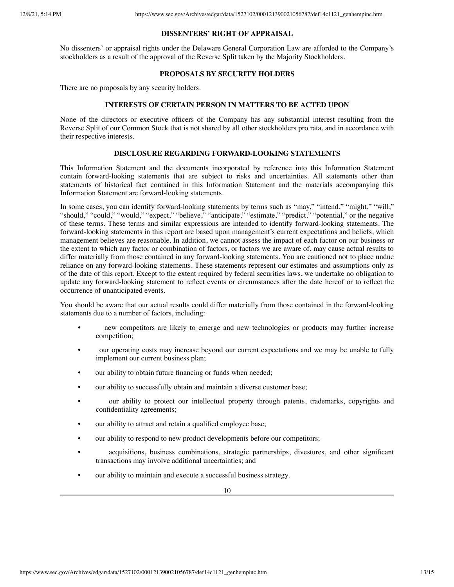## **DISSENTERS' RIGHT OF APPRAISAL**

No dissenters' or appraisal rights under the Delaware General Corporation Law are afforded to the Company's stockholders as a result of the approval of the Reverse Split taken by the Majority Stockholders.

## **PROPOSALS BY SECURITY HOLDERS**

There are no proposals by any security holders.

## **INTERESTS OF CERTAIN PERSON IN MATTERS TO BE ACTED UPON**

None of the directors or executive officers of the Company has any substantial interest resulting from the Reverse Split of our Common Stock that is not shared by all other stockholders pro rata, and in accordance with their respective interests.

## **DISCLOSURE REGARDING FORWARD-LOOKING STATEMENTS**

This Information Statement and the documents incorporated by reference into this Information Statement contain forward-looking statements that are subject to risks and uncertainties. All statements other than statements of historical fact contained in this Information Statement and the materials accompanying this Information Statement are forward-looking statements.

In some cases, you can identify forward-looking statements by terms such as "may," "intend," "might," "will," "should," "could," "would," "expect," "believe," "anticipate," "estimate," "predict," "potential," or the negative of these terms. These terms and similar expressions are intended to identify forward-looking statements. The forward-looking statements in this report are based upon management's current expectations and beliefs, which management believes are reasonable. In addition, we cannot assess the impact of each factor on our business or the extent to which any factor or combination of factors, or factors we are aware of, may cause actual results to differ materially from those contained in any forward-looking statements. You are cautioned not to place undue reliance on any forward-looking statements. These statements represent our estimates and assumptions only as of the date of this report. Except to the extent required by federal securities laws, we undertake no obligation to update any forward-looking statement to reflect events or circumstances after the date hereof or to reflect the occurrence of unanticipated events.

You should be aware that our actual results could differ materially from those contained in the forward-looking statements due to a number of factors, including:

- new competitors are likely to emerge and new technologies or products may further increase competition;
- our operating costs may increase beyond our current expectations and we may be unable to fully implement our current business plan;
- our ability to obtain future financing or funds when needed;
- our ability to successfully obtain and maintain a diverse customer base;
- our ability to protect our intellectual property through patents, trademarks, copyrights and confidentiality agreements;
- our ability to attract and retain a qualified employee base;
- our ability to respond to new product developments before our competitors;
- acquisitions, business combinations, strategic partnerships, divestures, and other significant transactions may involve additional uncertainties; and
- our ability to maintain and execute a successful business strategy.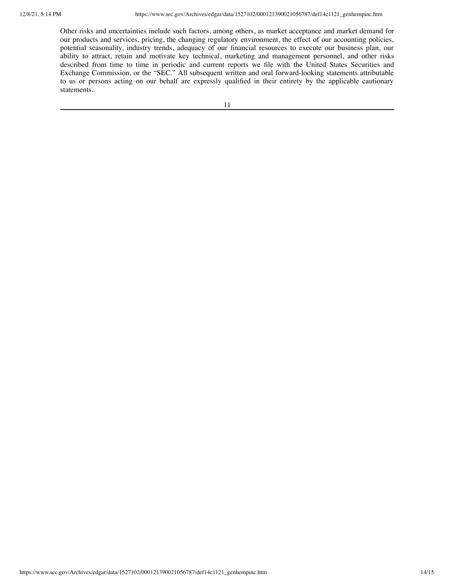Other risks and uncertainties include such factors, among others, as market acceptance and market demand for our products and services, pricing, the changing regulatory environment, the effect of our accounting policies, potential seasonality, industry trends, adequacy of our financial resources to execute our business plan, our ability to attract, retain and motivate key technical, marketing and management personnel, and other risks described from time to time in periodic and current reports we file with the United States Securities and Exchange Commission, or the "SEC." All subsequent written and oral forward-looking statements attributable to us or persons acting on our behalf are expressly qualified in their entirety by the applicable cautionary statements.